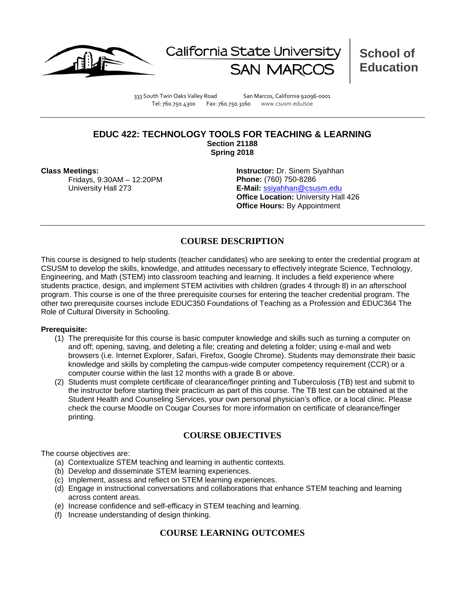



**School of Education**

333 South Twin Oaks Valley Road San Marcos, California 92096-0001 Tel: 760.750.4300 Fax: 760.750.3160 www.csusm.edu/soe

#### **EDUC 422: TECHNOLOGY TOOLS FOR TEACHING & LEARNING Section 21188 Spring 2018**

**Class Meetings:**

Fridays, 9:30AM – 12:20PM University Hall 273

**Instructor:** Dr. Sinem Siyahhan **Phone:** (760) 750-8286 **E-Mail:** [ssiyahhan@csusm.edu](mailto:ssiyahhan@csusm.edu) **Office Location:** University Hall 426 **Office Hours: By Appointment** 

### **COURSE DESCRIPTION**

This course is designed to help students (teacher candidates) who are seeking to enter the credential program at CSUSM to develop the skills, knowledge, and attitudes necessary to effectively integrate Science, Technology, Engineering, and Math (STEM) into classroom teaching and learning. It includes a field experience where students practice, design, and implement STEM activities with children (grades 4 through 8) in an afterschool program. This course is one of the three prerequisite courses for entering the teacher credential program. The other two prerequisite courses include EDUC350 Foundations of Teaching as a Profession and EDUC364 The Role of Cultural Diversity in Schooling.

#### **Prerequisite:**

- (1) The prerequisite for this course is basic computer knowledge and skills such as turning a computer on and off; opening, saving, and deleting a file; creating and deleting a folder; using e-mail and web browsers (i.e. Internet Explorer, Safari, Firefox, Google Chrome). Students may demonstrate their basic knowledge and skills by completing the campus-wide computer competency requirement (CCR) or a computer course within the last 12 months with a grade B or above.
- (2) Students must complete certificate of clearance/finger printing and Tuberculosis (TB) test and submit to the instructor before starting their practicum as part of this course. The TB test can be obtained at the Student Health and Counseling Services, your own personal physician's office, or a local clinic. Please check the course Moodle on Cougar Courses for more information on certificate of clearance/finger printing.

#### **COURSE OBJECTIVES**

The course objectives are:

- (a) Contextualize STEM teaching and learning in authentic contexts.
- (b) Develop and disseminate STEM learning experiences.
- (c) Implement, assess and reflect on STEM learning experiences.
- (d) Engage in instructional conversations and collaborations that enhance STEM teaching and learning across content areas.
- (e) Increase confidence and self-efficacy in STEM teaching and learning.
- (f) Increase understanding of design thinking.

### **COURSE LEARNING OUTCOMES**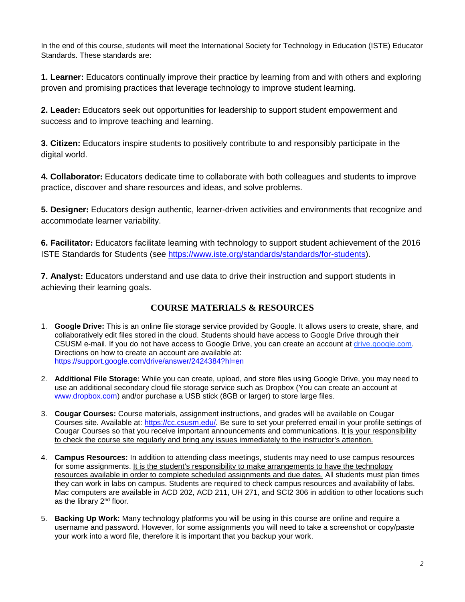In the end of this course, students will meet the International Society for Technology in Education (ISTE) Educator Standards. These standards are:

**1. Learner:** Educators continually improve their practice by learning from and with others and exploring proven and promising practices that leverage technology to improve student learning.

**2. Leader:** Educators seek out opportunities for leadership to support student empowerment and success and to improve teaching and learning.

**3. Citizen:** Educators inspire students to positively contribute to and responsibly participate in the digital world.

**4. Collaborator:** Educators dedicate time to collaborate with both colleagues and students to improve practice, discover and share resources and ideas, and solve problems.

**5. Designer:** Educators design authentic, learner-driven activities and environments that recognize and accommodate learner variability.

**6. Facilitator:** Educators facilitate learning with technology to support student achievement of the 2016 ISTE Standards for Students (see [https://www.iste.org/standards/standards/for-students\)](https://www.iste.org/standards/standards/for-students).

**7. Analyst:** Educators understand and use data to drive their instruction and support students in achieving their learning goals.

# **COURSE MATERIALS & RESOURCES**

- 1. **Google Drive:** This is an online file storage service provided by Google. It allows users to create, share, and collaboratively edit files stored in the cloud. Students should have access to Google Drive through their CSUSM e-mail. If you do not have access to Google Drive, you can create an account at drive.google.com. Directions on how to create an account are available at: <https://support.google.com/drive/answer/2424384?hl=en>
- 2. **Additional File Storage:** While you can create, upload, and store files using Google Drive, you may need to use an additional secondary cloud file storage service such as Dropbox (You can create an account at [www.dropbox.com\)](http://www.dropbox.com/) and/or purchase a USB stick (8GB or larger) to store large files.
- 3. **Cougar Courses:** Course materials, assignment instructions, and grades will be available on Cougar Courses site. Available at: [https://cc.csusm.edu/.](https://cc.csusm.edu/) Be sure to set your preferred email in your profile settings of Cougar Courses so that you receive important announcements and communications. It is your responsibility to check the course site regularly and bring any issues immediately to the instructor's attention.
- 4. **Campus Resources:** In addition to attending class meetings, students may need to use campus resources for some assignments. It is the student's responsibility to make arrangements to have the technology resources available in order to complete scheduled assignments and due dates. All students must plan times they can work in labs on campus. Students are required to check campus resources and availability of labs. Mac computers are available in ACD 202, ACD 211, UH 271, and SCI2 306 in addition to other locations such as the library 2<sup>nd</sup> floor.
- 5. **Backing Up Work:** Many technology platforms you will be using in this course are online and require a username and password. However, for some assignments you will need to take a screenshot or copy/paste your work into a word file, therefore it is important that you backup your work.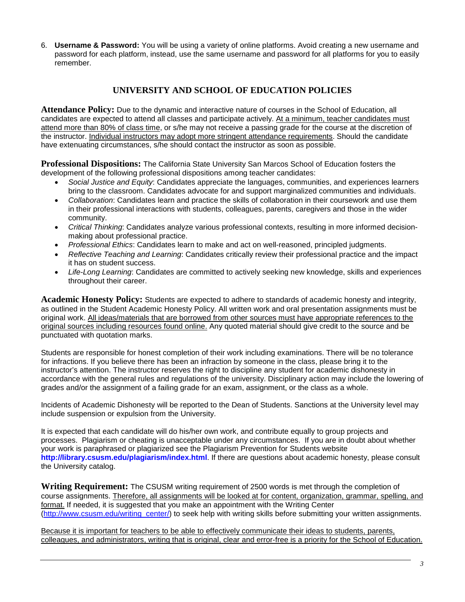6. **Username & Password:** You will be using a variety of online platforms. Avoid creating a new username and password for each platform, instead, use the same username and password for all platforms for you to easily remember.

# **UNIVERSITY AND SCHOOL OF EDUCATION POLICIES**

**Attendance Policy:** Due to the dynamic and interactive nature of courses in the School of Education, all candidates are expected to attend all classes and participate actively. At a minimum, teacher candidates must attend more than 80% of class time, or s/he may not receive a passing grade for the course at the discretion of the instructor. Individual instructors may adopt more stringent attendance requirements. Should the candidate have extenuating circumstances, s/he should contact the instructor as soon as possible.

**Professional Dispositions:** The California State University San Marcos School of Education fosters the development of the following professional dispositions among teacher candidates:

- *Social Justice and Equity*: Candidates appreciate the languages, communities, and experiences learners bring to the classroom. Candidates advocate for and support marginalized communities and individuals.
- *Collaboration*: Candidates learn and practice the skills of collaboration in their coursework and use them in their professional interactions with students, colleagues, parents, caregivers and those in the wider community.
- *Critical Thinking*: Candidates analyze various professional contexts, resulting in more informed decisionmaking about professional practice.
- *Professional Ethics*: Candidates learn to make and act on well-reasoned, principled judgments.
- *Reflective Teaching and Learning*: Candidates critically review their professional practice and the impact it has on student success.
- *Life-Long Learning*: Candidates are committed to actively seeking new knowledge, skills and experiences throughout their career.

**Academic Honesty Policy:** Students are expected to adhere to standards of academic honesty and integrity, as outlined in the Student Academic Honesty Policy. All written work and oral presentation assignments must be original work. All ideas/materials that are borrowed from other sources must have appropriate references to the original sources including resources found online. Any quoted material should give credit to the source and be punctuated with quotation marks.

Students are responsible for honest completion of their work including examinations. There will be no tolerance for infractions. If you believe there has been an infraction by someone in the class, please bring it to the instructor's attention. The instructor reserves the right to discipline any student for academic dishonesty in accordance with the general rules and regulations of the university. Disciplinary action may include the lowering of grades and/or the assignment of a failing grade for an exam, assignment, or the class as a whole.

Incidents of Academic Dishonesty will be reported to the Dean of Students. Sanctions at the University level may include suspension or expulsion from the University.

It is expected that each candidate will do his/her own work, and contribute equally to group projects and processes. Plagiarism or cheating is unacceptable under any circumstances. If you are in doubt about whether your work is paraphrased or plagiarized see the Plagiarism Prevention for Students website **<http://library.csusm.edu/plagiarism/index.html>**. If there are questions about academic honesty, please consult the University catalog.

**Writing Requirement:** The CSUSM writing requirement of 2500 words is met through the completion of course assignments. Therefore, all assignments will be looked at for content, organization, grammar, spelling, and format. If needed, it is suggested that you make an appointment with the Writing Center [\(http://www.csusm.edu/writing\\_center/\)](http://www.csusm.edu/writing_center/) to seek help with writing skills before submitting your written assignments.

Because it is important for teachers to be able to effectively communicate their ideas to students, parents, colleagues, and administrators, writing that is original, clear and error-free is a priority for the School of Education.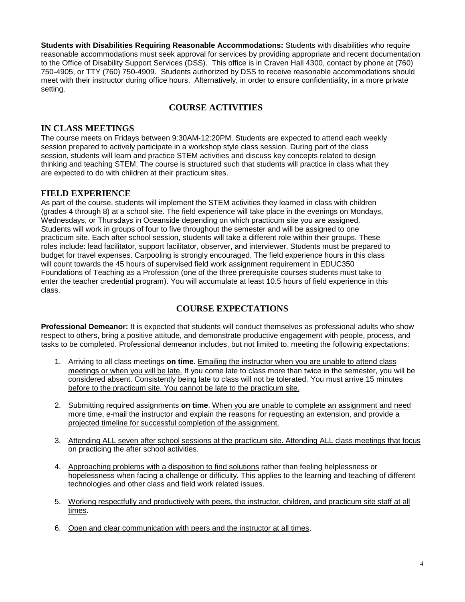**Students with Disabilities Requiring Reasonable Accommodations:** Students with disabilities who require reasonable accommodations must seek approval for services by providing appropriate and recent documentation to the Office of Disability Support Services (DSS). This office is in Craven Hall 4300, contact by phone at (760) 750-4905, or TTY (760) 750-4909. Students authorized by DSS to receive reasonable accommodations should meet with their instructor during office hours. Alternatively, in order to ensure confidentiality, in a more private setting.

# **COURSE ACTIVITIES**

### **IN CLASS MEETINGS**

The course meets on Fridays between 9:30AM-12:20PM. Students are expected to attend each weekly session prepared to actively participate in a workshop style class session. During part of the class session, students will learn and practice STEM activities and discuss key concepts related to design thinking and teaching STEM. The course is structured such that students will practice in class what they are expected to do with children at their practicum sites.

### **FIELD EXPERIENCE**

As part of the course, students will implement the STEM activities they learned in class with children (grades 4 through 8) at a school site. The field experience will take place in the evenings on Mondays, Wednesdays, or Thursdays in Oceanside depending on which practicum site you are assigned. Students will work in groups of four to five throughout the semester and will be assigned to one practicum site. Each after school session, students will take a different role within their groups. These roles include: lead facilitator, support facilitator, observer, and interviewer. Students must be prepared to budget for travel expenses. Carpooling is strongly encouraged. The field experience hours in this class will count towards the 45 hours of supervised field work assignment requirement in EDUC350 Foundations of Teaching as a Profession (one of the three prerequisite courses students must take to enter the teacher credential program). You will accumulate at least 10.5 hours of field experience in this class.

### **COURSE EXPECTATIONS**

**Professional Demeanor:** It is expected that students will conduct themselves as professional adults who show respect to others, bring a positive attitude, and demonstrate productive engagement with people, process, and tasks to be completed. Professional demeanor includes, but not limited to, meeting the following expectations:

- 1. Arriving to all class meetings **on time**. Emailing the instructor when you are unable to attend class meetings or when you will be late. If you come late to class more than twice in the semester, you will be considered absent. Consistently being late to class will not be tolerated. You must arrive 15 minutes before to the practicum site. You cannot be late to the practicum site.
- 2. Submitting required assignments **on time**. When you are unable to complete an assignment and need more time, e-mail the instructor and explain the reasons for requesting an extension, and provide a projected timeline for successful completion of the assignment.
- 3. Attending ALL seven after school sessions at the practicum site. Attending ALL class meetings that focus on practicing the after school activities.
- 4. Approaching problems with a disposition to find solutions rather than feeling helplessness or hopelessness when facing a challenge or difficulty. This applies to the learning and teaching of different technologies and other class and field work related issues.
- 5. Working respectfully and productively with peers, the instructor, children, and practicum site staff at all times.
- 6. Open and clear communication with peers and the instructor at all times.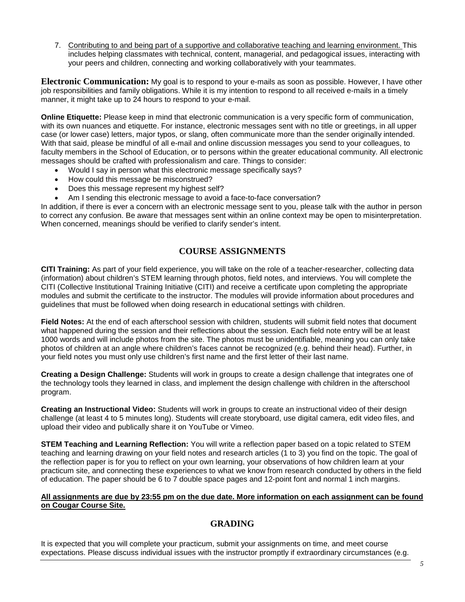7. Contributing to and being part of a supportive and collaborative teaching and learning environment. This includes helping classmates with technical, content, managerial, and pedagogical issues, interacting with your peers and children, connecting and working collaboratively with your teammates.

**Electronic Communication:** My goal is to respond to your e-mails as soon as possible. However, I have other job responsibilities and family obligations. While it is my intention to respond to all received e-mails in a timely manner, it might take up to 24 hours to respond to your e-mail.

**Online Etiquette:** Please keep in mind that electronic communication is a very specific form of communication, with its own nuances and etiquette. For instance, electronic messages sent with no title or greetings, in all upper case (or lower case) letters, major typos, or slang, often communicate more than the sender originally intended. With that said, please be mindful of all e-mail and online discussion messages you send to your colleagues, to faculty members in the School of Education, or to persons within the greater educational community. All electronic messages should be crafted with professionalism and care. Things to consider:

- Would I say in person what this electronic message specifically says?
- How could this message be misconstrued?
- Does this message represent my highest self?
- Am I sending this electronic message to avoid a face-to-face conversation?

In addition, if there is ever a concern with an electronic message sent to you, please talk with the author in person to correct any confusion. Be aware that messages sent within an online context may be open to misinterpretation. When concerned, meanings should be verified to clarify sender's intent.

### **COURSE ASSIGNMENTS**

**CITI Training:** As part of your field experience, you will take on the role of a teacher-researcher, collecting data (information) about children's STEM learning through photos, field notes, and interviews. You will complete the CITI (Collective Institutional Training Initiative (CITI) and receive a certificate upon completing the appropriate modules and submit the certificate to the instructor. The modules will provide information about procedures and guidelines that must be followed when doing research in educational settings with children.

**Field Notes:** At the end of each afterschool session with children, students will submit field notes that document what happened during the session and their reflections about the session. Each field note entry will be at least 1000 words and will include photos from the site. The photos must be unidentifiable, meaning you can only take photos of children at an angle where children's faces cannot be recognized (e.g. behind their head). Further, in your field notes you must only use children's first name and the first letter of their last name.

**Creating a Design Challenge:** Students will work in groups to create a design challenge that integrates one of the technology tools they learned in class, and implement the design challenge with children in the afterschool program.

**Creating an Instructional Video:** Students will work in groups to create an instructional video of their design challenge (at least 4 to 5 minutes long). Students will create storyboard, use digital camera, edit video files, and upload their video and publically share it on YouTube or Vimeo.

**STEM Teaching and Learning Reflection:** You will write a reflection paper based on a topic related to STEM teaching and learning drawing on your field notes and research articles (1 to 3) you find on the topic. The goal of the reflection paper is for you to reflect on your own learning, your observations of how children learn at your practicum site, and connecting these experiences to what we know from research conducted by others in the field of education. The paper should be 6 to 7 double space pages and 12-point font and normal 1 inch margins.

#### **All assignments are due by 23:55 pm on the due date. More information on each assignment can be found on Cougar Course Site.**

### **GRADING**

It is expected that you will complete your practicum, submit your assignments on time, and meet course expectations. Please discuss individual issues with the instructor promptly if extraordinary circumstances (e.g.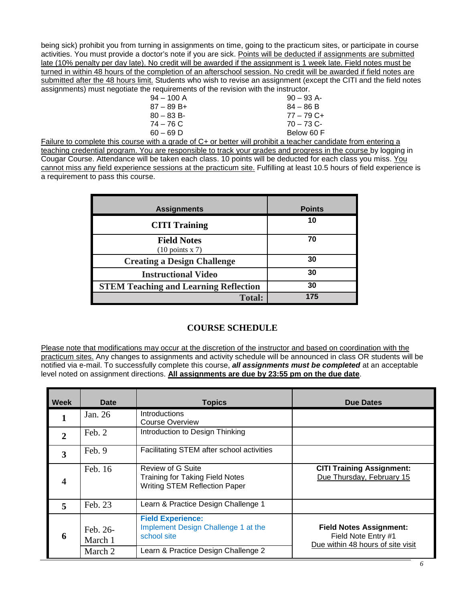being sick) prohibit you from turning in assignments on time, going to the practicum sites, or participate in course activities. You must provide a doctor's note if you are sick. Points will be deducted if assignments are submitted late (10% penalty per day late). No credit will be awarded if the assignment is 1 week late. Field notes must be turned in within 48 hours of the completion of an afterschool session. No credit will be awarded if field notes are submitted after the 48 hours limit. Students who wish to revise an assignment (except the CITI and the field notes assignments) must negotiate the requirements of the revision with the instructor.

| $94 - 100$ A | $90 - 93$ A-                                                                                                    |
|--------------|-----------------------------------------------------------------------------------------------------------------|
| $87 - 89B +$ | $84 - 86 B$                                                                                                     |
| $80 - 83 B$  | $77 - 79$ C+                                                                                                    |
| 74 – 76 C    | $70 - 73$ C-                                                                                                    |
| 60 – 69 D    | Below 60 F                                                                                                      |
|              | ta de la constitución de la constitución de la constitución de la constitución de la constitución de la constit |

Failure to complete this course with a grade of C+ or better will prohibit a teacher candidate from entering a teaching credential program. You are responsible to track your grades and progress in the course by logging in Cougar Course. Attendance will be taken each class. 10 points will be deducted for each class you miss. You cannot miss any field experience sessions at the practicum site. Fulfilling at least 10.5 hours of field experience is a requirement to pass this course.

| <b>Assignments</b>                               | <b>Points</b> |
|--------------------------------------------------|---------------|
| <b>CITI Training</b>                             | 10            |
| <b>Field Notes</b><br>$(10 \text{ points } x 7)$ | 70            |
| <b>Creating a Design Challenge</b>               | 30            |
| <b>Instructional Video</b>                       | 30            |
| <b>STEM Teaching and Learning Reflection</b>     | 30            |
| <b>Total:</b>                                    | 175           |

# **COURSE SCHEDULE**

Please note that modifications may occur at the discretion of the instructor and based on coordination with the practicum sites. Any changes to assignments and activity schedule will be announced in class OR students will be notified via e-mail. To successfully complete this course, *all assignments must be completed* at an acceptable level noted on assignment directions. **All assignments are due by 23:55 pm on the due date**.

| Week         | Date                | <b>Topics</b>                                                                                              | <b>Due Dates</b>                                                                           |
|--------------|---------------------|------------------------------------------------------------------------------------------------------------|--------------------------------------------------------------------------------------------|
|              | Jan. 26             | <b>Introductions</b><br>Course Overview                                                                    |                                                                                            |
| $\mathbf{2}$ | Feb. 2              | Introduction to Design Thinking                                                                            |                                                                                            |
| 3            | Feb. 9              | Facilitating STEM after school activities                                                                  |                                                                                            |
| 4            | Feb. 16             | <b>Review of G Suite</b><br><b>Training for Taking Field Notes</b><br><b>Writing STEM Reflection Paper</b> | <b>CITI Training Assignment:</b><br>Due Thursday, February 15                              |
| 5            | Feb. 23             | Learn & Practice Design Challenge 1                                                                        |                                                                                            |
| 6            | Feb. 26-<br>March 1 | <b>Field Experience:</b><br>Implement Design Challenge 1 at the<br>school site                             | <b>Field Notes Assignment:</b><br>Field Note Entry #1<br>Due within 48 hours of site visit |
|              | March 2             | Learn & Practice Design Challenge 2                                                                        |                                                                                            |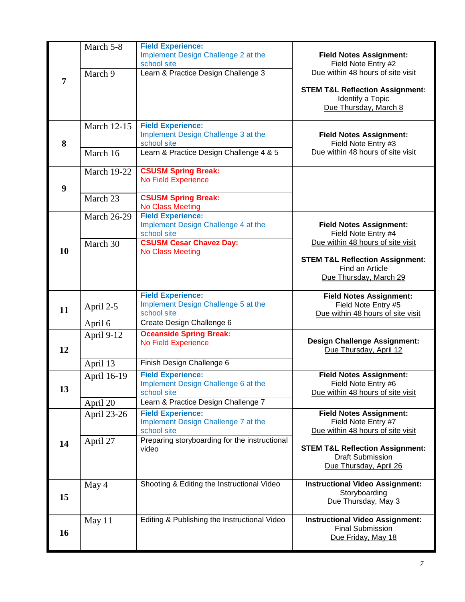|                  | March 5-8               | <b>Field Experience:</b><br>Implement Design Challenge 2 at the<br>school site | <b>Field Notes Assignment:</b><br>Field Note Entry #2                                   |
|------------------|-------------------------|--------------------------------------------------------------------------------|-----------------------------------------------------------------------------------------|
| $\overline{7}$   | March 9                 | Learn & Practice Design Challenge 3                                            | Due within 48 hours of site visit                                                       |
|                  |                         |                                                                                | <b>STEM T&amp;L Reflection Assignment:</b><br>Identify a Topic<br>Due Thursday, March 8 |
|                  | <b>March 12-15</b>      | <b>Field Experience:</b><br>Implement Design Challenge 3 at the                | <b>Field Notes Assignment:</b>                                                          |
| 8                |                         | school site                                                                    | Field Note Entry #3                                                                     |
|                  | March 16                | Learn & Practice Design Challenge 4 & 5                                        | Due within 48 hours of site visit                                                       |
|                  | <b>March 19-22</b>      | <b>CSUSM Spring Break:</b><br><b>No Field Experience</b>                       |                                                                                         |
| $\boldsymbol{9}$ |                         |                                                                                |                                                                                         |
|                  | March 23                | <b>CSUSM Spring Break:</b><br><b>No Class Meeting</b>                          |                                                                                         |
|                  | <b>March 26-29</b>      | <b>Field Experience:</b><br>Implement Design Challenge 4 at the                | <b>Field Notes Assignment:</b>                                                          |
|                  |                         | school site                                                                    | Field Note Entry #4                                                                     |
| 10               | March 30                | <b>CSUSM Cesar Chavez Day:</b><br><b>No Class Meeting</b>                      | Due within 48 hours of site visit                                                       |
|                  |                         |                                                                                | <b>STEM T&amp;L Reflection Assignment:</b><br>Find an Article                           |
|                  |                         |                                                                                | Due Thursday, March 29                                                                  |
|                  |                         | <b>Field Experience:</b>                                                       | <b>Field Notes Assignment:</b>                                                          |
| 11               | April 2-5               | Implement Design Challenge 5 at the<br>school site                             | Field Note Entry #5<br>Due within 48 hours of site visit                                |
|                  | April 6                 | Create Design Challenge 6<br><b>Oceanside Spring Break:</b>                    |                                                                                         |
| 12               | April 9-12              | No Field Experience                                                            | <b>Design Challenge Assignment:</b><br>Due Thursday, April 12                           |
|                  | April 13                | Finish Design Challenge 6                                                      |                                                                                         |
|                  | April 16-19             | <b>Field Experience:</b><br>Implement Design Challenge 6 at the                | <b>Field Notes Assignment:</b><br>Field Note Entry #6                                   |
| 13               |                         | school site<br>Learn & Practice Design Challenge 7                             | Due within 48 hours of site visit                                                       |
|                  | April 20<br>April 23-26 | <b>Field Experience:</b>                                                       | <b>Field Notes Assignment:</b>                                                          |
|                  |                         | Implement Design Challenge 7 at the<br>school site                             | Field Note Entry #7<br>Due within 48 hours of site visit                                |
| 14               | April 27                | Preparing storyboarding for the instructional                                  |                                                                                         |
|                  |                         | video                                                                          | <b>STEM T&amp;L Reflection Assignment:</b><br><b>Draft Submission</b>                   |
|                  |                         |                                                                                | Due Thursday, April 26                                                                  |
|                  | May 4                   | Shooting & Editing the Instructional Video                                     | <b>Instructional Video Assignment:</b><br>Storyboarding                                 |
| 15               |                         |                                                                                | Due Thursday, May 3                                                                     |
|                  | May 11                  | Editing & Publishing the Instructional Video                                   | <b>Instructional Video Assignment:</b><br><b>Final Submission</b>                       |
| 16               |                         |                                                                                | Due Friday, May 18                                                                      |
|                  |                         |                                                                                |                                                                                         |